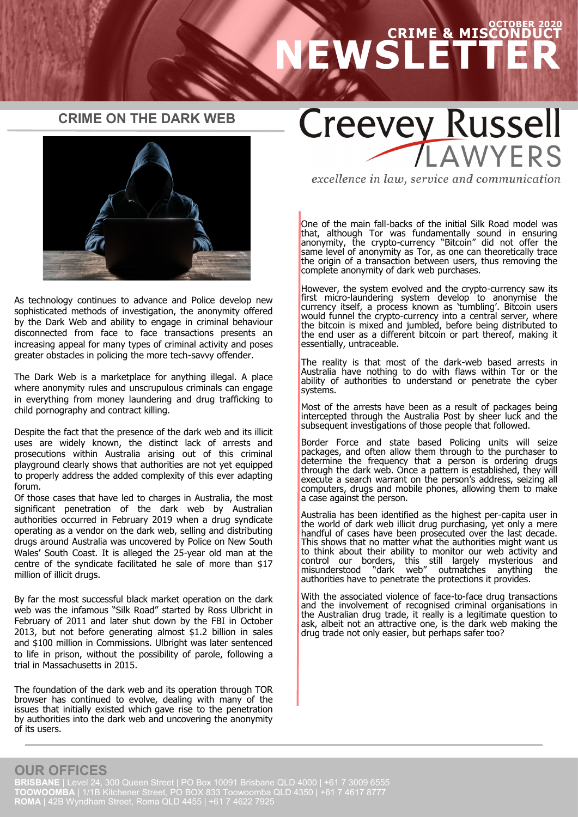## **OCTOBER 2020 CRIME & MISCONDUCT NEWSLETTER**

#### **CRIME ON THE DARK WEB**



As technology continues to advance and Police develop new sophisticated methods of investigation, the anonymity offered by the Dark Web and ability to engage in criminal behaviour disconnected from face to face transactions presents an increasing appeal for many types of criminal activity and poses greater obstacles in policing the more tech-savvy offender.

The Dark Web is a marketplace for anything illegal. A place where anonymity rules and unscrupulous criminals can engage in everything from money laundering and drug trafficking to child pornography and contract killing.

Despite the fact that the presence of the dark web and its illicit uses are widely known, the distinct lack of arrests and prosecutions within Australia arising out of this criminal playground clearly shows that authorities are not yet equipped to properly address the added complexity of this ever adapting forum.

Of those cases that have led to charges in Australia, the most significant penetration of the dark web by Australian authorities occurred in February 2019 when a drug syndicate operating as a vendor on the dark web, selling and distributing drugs around Australia was uncovered by Police on New South Wales' South Coast. It is alleged the 25-year old man at the centre of the syndicate facilitated he sale of more than \$17 million of illicit drugs.

By far the most successful black market operation on the dark web was the infamous "Silk Road" started by Ross Ulbricht in February of 2011 and later shut down by the FBI in October 2013, but not before generating almost \$1.2 billion in sales and \$100 million in Commissions. Ulbright was later sentenced to life in prison, without the possibility of parole, following a trial in Massachusetts in 2015.

The foundation of the dark web and its operation through TOR browser has continued to evolve, dealing with many of the issues that initially existed which gave rise to the penetration by authorities into the dark web and uncovering the anonymity of its users.

# **Creevey Russell** WYFRS

excellence in law, service and communication

One of the main fall-backs of the initial Silk Road model was that, although Tor was fundamentally sound in ensuring anonymity, the crypto-currency "Bitcoin" did not offer the same level of anonymity as Tor, as one can theoretically trace the origin of a transaction between users, thus removing the complete anonymity of dark web purchases.

However, the system evolved and the crypto-currency saw its first micro-laundering system develop to anonymise the currency itself, a process known as 'tumbling'. Bitcoin users would funnel the crypto-currency into a central server, where the bitcoin is mixed and jumbled, before being distributed to the end user as a different bitcoin or part thereof, making it essentially, untraceable.

The reality is that most of the dark-web based arrests in Australia have nothing to do with flaws within Tor or the ability of authorities to understand or penetrate the cyber systems.

Most of the arrests have been as a result of packages being intercepted through the Australia Post by sheer luck and the subsequent investigations of those people that followed.

Border Force and state based Policing units will seize packages, and often allow them through to the purchaser to determine the frequency that a person is ordering drugs through the dark web. Once a pattern is established, they will execute a search warrant on the person's address, seizing all computers, drugs and mobile phones, allowing them to make a case against the person.

Australia has been identified as the highest per-capita user in the world of dark web illicit drug purchasing, yet only a mere handful of cases have been prosecuted over the last decade. This shows that no matter what the authorities might want us to think about their ability to monitor our web activity and control our borders, this still largely mysterious and control our borders, this still largely mysterious and misunderstood "dark web" outmatches anything the authorities have to penetrate the protections it provides.

With the associated violence of face-to-face drug transactions and the involvement of recognised criminal organisations in the Australian drug trade, it really is a legitimate question to ask, albeit not an attractive one, is the dark web making the drug trade not only easier, but perhaps safer too?

## **OUR OFFICES**

**BRISBANE** | Level 24, 300 Queen Street | PO Box 10091 Brisbane QLD 4000 | +61 7 3009 6555 **TOOWOOMBA** | 1/1B Kitchener Street, PO BOX 833 Toowoomba QLD 4350 | +61 7 4617 8777 **ROMA** | 42B Wyndham Street, Roma QLD 4455 | +61 7 4622 7925